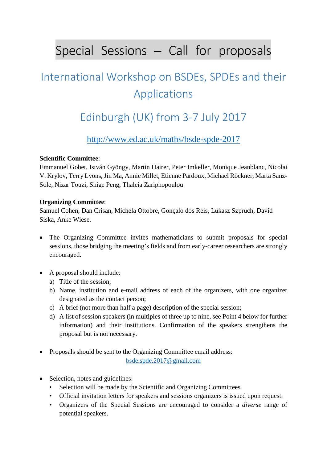# Special Sessions – Call for proposals

## International Workshop on BSDEs, SPDEs and their Applications

### Edinburgh (UK) from 3-7 July 2017

<http://www.ed.ac.uk/maths/bsde-spde-2017>

### **Scientific Committee**:

Emmanuel Gobet, István Gyöngy, Martin Hairer, Peter Imkeller, Monique Jeanblanc, Nicolai V. Krylov, Terry Lyons, Jin Ma, Annie Millet, Etienne Pardoux, Michael Röckner, Marta Sanz-Sole, Nizar Touzi, Shige Peng, Thaleia Zariphopoulou

### **Organizing Committee**:

Samuel Cohen, Dan Crisan, Michela Ottobre, Gonçalo dos Reis, Lukasz Szpruch, David Siska, Anke Wiese.

- The Organizing Committee invites mathematicians to submit proposals for special sessions, those bridging the meeting's fields and from early-career researchers are strongly encouraged.
- A proposal should include:
	- a) Title of the session;
	- b) Name, institution and e-mail address of each of the organizers, with one organizer designated as the contact person;
	- c) A brief (not more than half a page) description of the special session;
	- d) A list of session speakers (in multiples of three up to nine, see Point 4 below for further information) and their institutions. Confirmation of the speakers strengthens the proposal but is not necessary.
- Proposals should be sent to the Organizing Committee email address: [bsde.spde.2017@gmail.com](mailto:bsde.spde.2017@gmail.com)
- Selection, notes and guidelines:
	- Selection will be made by the Scientific and Organizing Committees.
	- Official invitation letters for speakers and sessions organizers is issued upon request.
	- Organizers of the Special Sessions are encouraged to consider a *diverse* range of potential speakers.